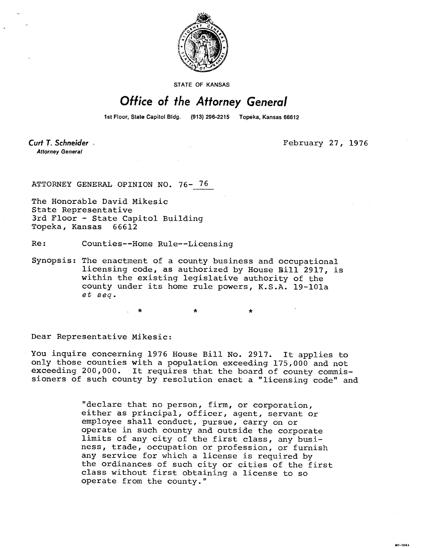

STATE OF KANSAS

## Office of the Attorney General

1st Floor, State Capitol Bldg. (913) 296-2215 Topeka, Kansas 66612

Curt T. Schneider **Attorney General** 

February 27, 1976

MI-1043

ATTORNEY GENERAL OPINION NO. 76- 76

The Honorable David Mikesic State Representative 3rd Floor - State Capitol Building Topeka, Kansas 66612

Re: Counties--Home Rule--Licensing

Synopsis: The enactment of a county business and occupational licensing code, as authorized by House Bill 2917, is within the existing legislative authority of the county under its home rule powers, K.S.A. 19-101a et seq.

Dear Representative Mikesic:

You inquire concerning 1976 House Bill No. 2917. It applies to only those counties with a population exceeding 175,000 and not exceeding 200,000. It requires that the board of county commissioners of such county by resolution enact a "licensing code" and

> "declare that no person, firm, or corporation, either as principal, officer, agent, servant or employee shall conduct, pursue, carry on or operate in such county and outside the corporate limits of any city of the first class, any business, trade, occupation or profession, or furnish any service for which a license is required by the ordinances of such city or cities of the first class without first obtaining a license to so operate from the county."